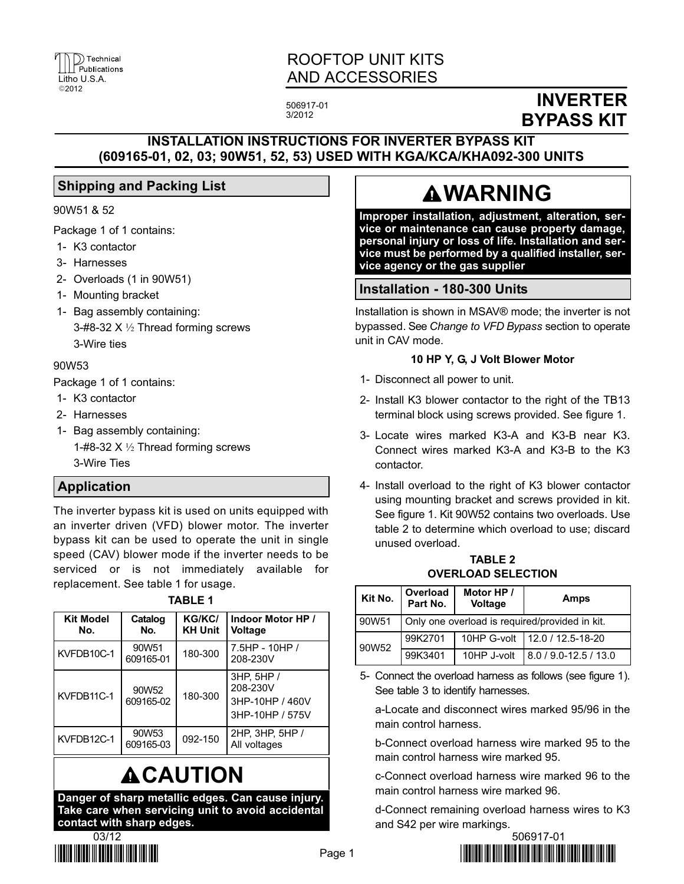

# ROOFTOP UNIT KITS AND ACCESSORIES

506917−01 3/2012

# INVERTER BYPASS KIT

# INSTALLATION INSTRUCTIONS FOR INVERTER BYPASS KIT (609165−01, 02, 03; 90W51, 52, 53) USED WITH KGA/KCA/KHA092−300 UNITS

# Shipping and Packing List

#### 90W51 & 52

Package 1 of 1 contains:

- 1− K3 contactor
- 3− Harnesses
- 2− Overloads (1 in 90W51)
- 1− Mounting bracket
- 1− Bag assembly containing: 3−#8−32 X ½ Thread forming screws 3−Wire ties

#### 90W53

Package 1 of 1 contains:

- 1− K3 contactor
- 2− Harnesses
- 1− Bag assembly containing: 1−#8−32 X ½ Thread forming screws 3−Wire Ties

### Application

The inverter bypass kit is used on units equipped with an inverter driven (VFD) blower motor. The inverter bypass kit can be used to operate the unit in single speed (CAV) blower mode if the inverter needs to be serviced or is not immediately available for replacement. See table 1 for usage.

| ш |  |
|---|--|
|   |  |

| <b>Kit Model</b><br>No. | Catalog<br>No.                 | <b>KG/KC/</b><br><b>KH Unit</b> | Indoor Motor HP /<br>Voltage                                 |
|-------------------------|--------------------------------|---------------------------------|--------------------------------------------------------------|
| KVFDB10C-1              | 90W51<br>609165-01             | 180-300                         | $7.5HP - 10HP /$<br>208-230V                                 |
| KVFDB11C-1              | 90W <sub>52</sub><br>609165-02 | 180-300                         | 3HP, 5HP /<br>208-230V<br>3HP-10HP / 460V<br>3HP-10HP / 575V |
| KVFDB12C-1              | 90W <sub>53</sub><br>609165-03 | 092-150                         | 2HP, 3HP, 5HP /<br>All voltages                              |

# **ACAUTION**

Danger of sharp metallic edges. Can cause injury. Take care when servicing unit to avoid accidental contact with sharp edges.



# **AWARNING**

Improper installation, adjustment, alteration, service or maintenance can cause property damage, personal injury or loss of life. Installation and service must be performed by a qualified installer, service agency or the gas supplier

### Installation − 180−300 Units

Installation is shown in MSAV® mode; the inverter is not bypassed. See Change to VFD Bypass section to operate unit in CAV mode.

#### 10 HP Y, G, J Volt Blower Motor

- 1− Disconnect all power to unit.
- 2− Install K3 blower contactor to the right of the TB13 terminal block using screws provided. See figure [1.](#page-1-0)
- 3− Locate wires marked K3−A and K3−B near K3. Connect wires marked K3−A and K3−B to the K3 contactor.
- 4− Install overload to the right of K3 blower contactor using mounting bracket and screws provided in kit. See figure [1](#page-1-0). Kit 90W52 contains two overloads. Use table 2 to determine which overload to use; discard unused overload.

TABLE 2 OVERLOAD SELECTION

| Kit No. | Overload<br>Part No.                           | Motor HP /<br><b>Voltage</b> | Amps                            |
|---------|------------------------------------------------|------------------------------|---------------------------------|
| 90W51   | Only one overload is required/provided in kit. |                              |                                 |
| 90W52   | 99K2701                                        |                              | 10HP G-volt   12.0 / 12.5-18-20 |
|         | 99K3401                                        | 10HP J-volt                  | 8.0 / 9.0-12.5 / 13.0           |

<sup>5−</sup> Connect the overload harness as follows (see figure [1](#page-1-0)). See table [3](#page-1-0) to identify harnesses.

a−Locate and disconnect wires marked 95/96 in the main control harness.

b−Connect overload harness wire marked 95 to the main control harness wire marked 95.

c−Connect overload harness wire marked 96 to the main control harness wire marked 96.

d−Connect remaining overload harness wires to K3 and S42 per wire markings.

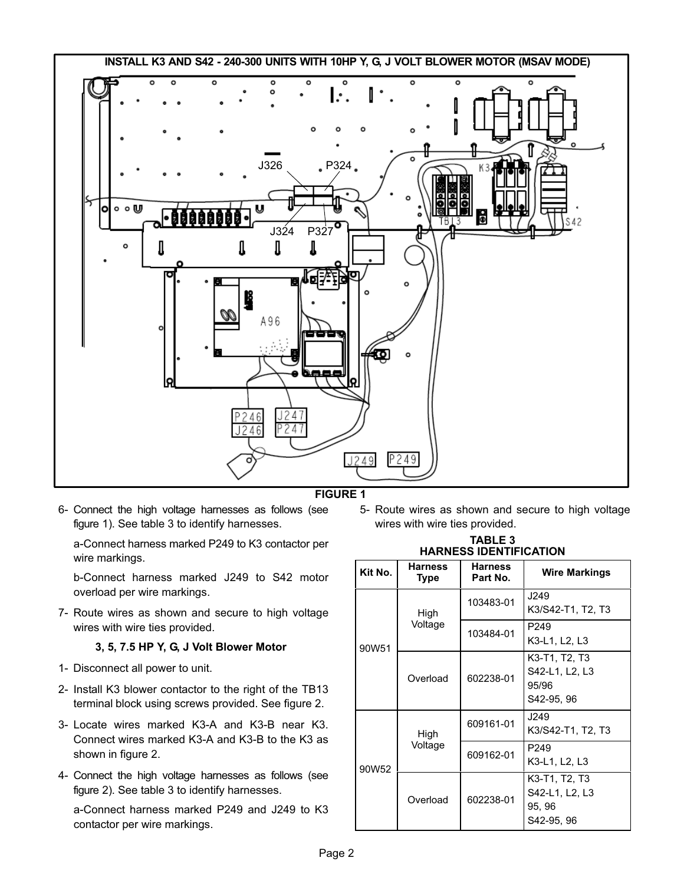<span id="page-1-0"></span>

#### FIGURE 1

6− Connect the high voltage harnesses as follows (see figure 1). See table 3 to identify harnesses.

a−Connect harness marked P249 to K3 contactor per wire markings.

b−Connect harness marked J249 to S42 motor overload per wire markings.

7− Route wires as shown and secure to high voltage wires with wire ties provided.

#### 3, 5, 7.5 HP Y, G, J Volt Blower Motor

- 1− Disconnect all power to unit.
- 2− Install K3 blower contactor to the right of the TB13 terminal block using screws provided. See figure [2.](#page-2-0)
- 3− Locate wires marked K3−A and K3−B near K3. Connect wires marked K3−A and K3−B to the K3 as shown in figure [2.](#page-2-0)
- 4− Connect the high voltage harnesses as follows (see figure [2](#page-2-0)). See table 3 to identify harnesses.

a−Connect harness marked P249 and J249 to K3 contactor per wire markings.

5− Route wires as shown and secure to high voltage wires with wire ties provided.

| <b>TABLE 3</b>                |  |  |
|-------------------------------|--|--|
| <b>HARNESS IDENTIFICATION</b> |  |  |

| Kit No. | Harness<br>Type | <b>Harness</b><br>Part No. | <b>Wire Markings</b>                                    |
|---------|-----------------|----------------------------|---------------------------------------------------------|
| 90W51   | High<br>Voltage | 103483-01                  | J249<br>K3/S42-T1, T2, T3                               |
|         |                 | 103484-01                  | P <sub>249</sub><br>K3-L1, L2, L3                       |
|         | Overload        | 602238-01                  | K3-T1, T2, T3<br>S42-L1, L2, L3<br>95/96<br>S42-95, 96  |
| 90W52   | High<br>Voltage | 609161-01                  | J249<br>K3/S42-T1, T2, T3                               |
|         |                 | 609162-01                  | P <sub>249</sub><br>K3-L1, L2, L3                       |
|         | Overload        | 602238-01                  | K3-T1, T2, T3<br>S42-L1, L2, L3<br>95, 96<br>S42-95, 96 |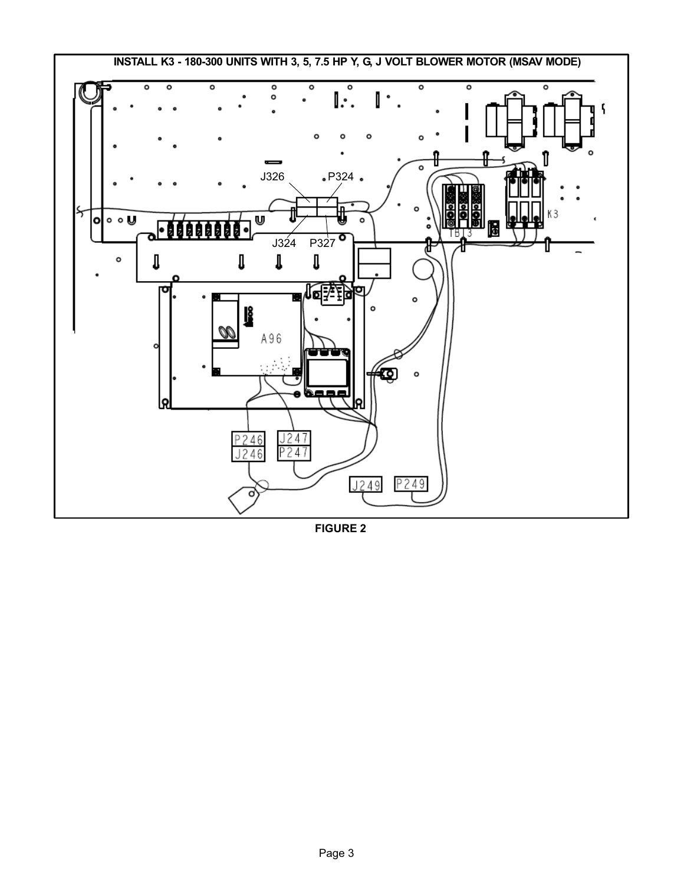<span id="page-2-0"></span>

FIGURE 2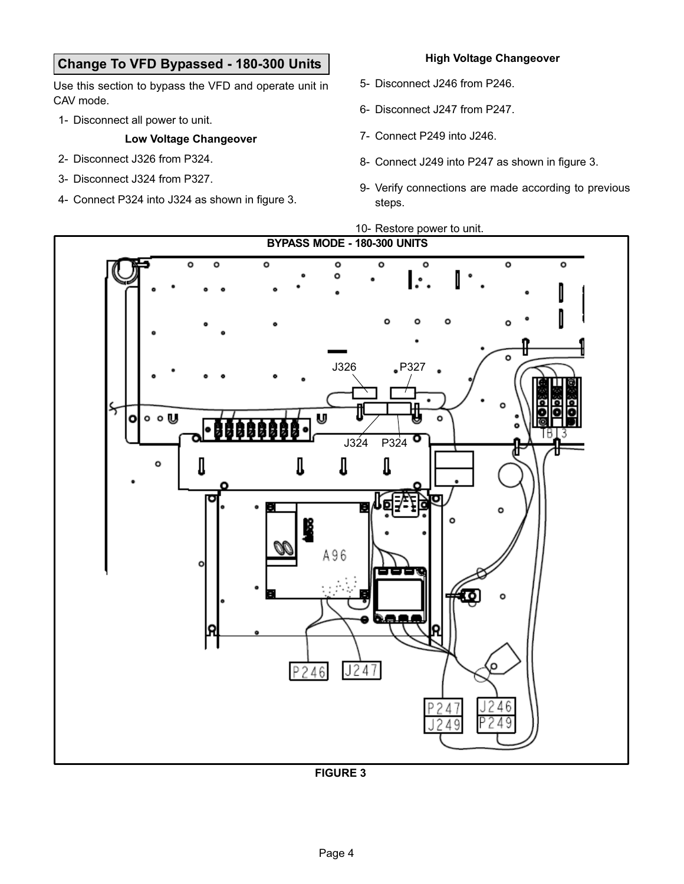# Change To VFD Bypassed − 180−300 Units

Use this section to bypass the VFD and operate unit in CAV mode.

1− Disconnect all power to unit.

#### Low Voltage Changeover

- 2− Disconnect J326 from P324.
- 3− Disconnect J324 from P327.
- 4− Connect P324 into J324 as shown in figure 3.

#### High Voltage Changeover

- 5− Disconnect J246 from P246.
- 6− Disconnect J247 from P247.
- 7− Connect P249 into J246.
- 8− Connect J249 into P247 as shown in figure 3.
- 9− Verify connections are made according to previous steps.

10− Restore power to unit.



FIGURE 3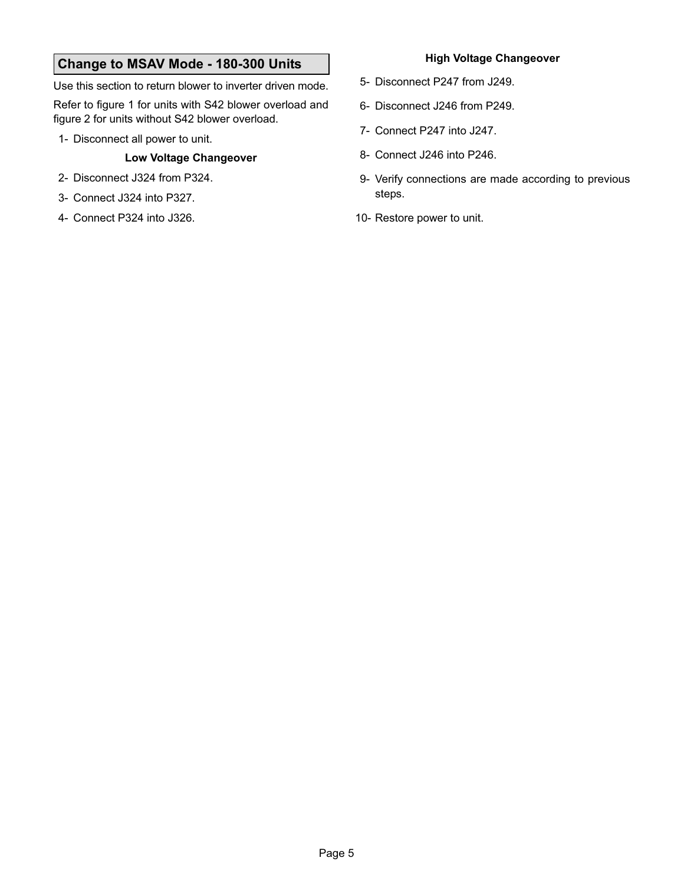# Change to MSAV Mode − 180−300 Units

Use this section to return blower to inverter driven mode.

Refer to figure [1](#page-1-0) for units with S42 blower overload and figure [2](#page-2-0) for units without S42 blower overload.

1− Disconnect all power to unit.

#### Low Voltage Changeover

- 2− Disconnect J324 from P324.
- 3− Connect J324 into P327.
- 4− Connect P324 into J326.

#### High Voltage Changeover

- 5− Disconnect P247 from J249.
- 6− Disconnect J246 from P249.
- 7− Connect P247 into J247.
- 8− Connect J246 into P246.
- 9− Verify connections are made according to previous steps.
- 10− Restore power to unit.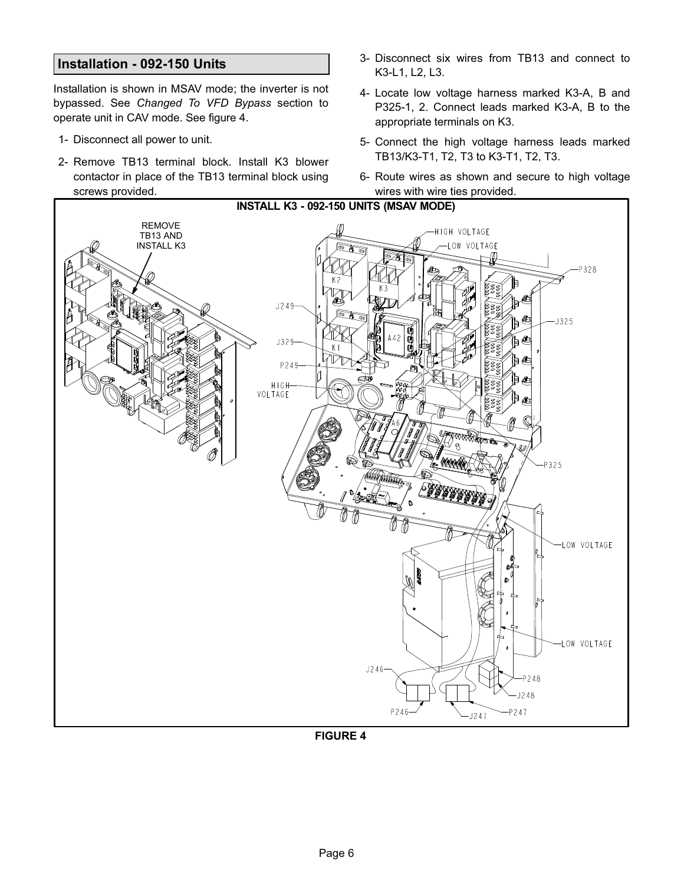#### Installation − 092−150 Units

Installation is shown in MSAV mode; the inverter is not bypassed. See Changed To VFD Bypass section to operate unit in CAV mode. See figure 4.

- 1− Disconnect all power to unit.
- 2− Remove TB13 terminal block. Install K3 blower contactor in place of the TB13 terminal block using screws provided.
- 3− Disconnect six wires from TB13 and connect to K3−L1, L2, L3.
- 4− Locate low voltage harness marked K3−A, B and P325−1, 2. Connect leads marked K3−A, B to the appropriate terminals on K3.
- 5− Connect the high voltage harness leads marked TB13/K3−T1, T2, T3 to K3−T1, T2, T3.
- 6− Route wires as shown and secure to high voltage wires with wire ties provided.



FIGURE 4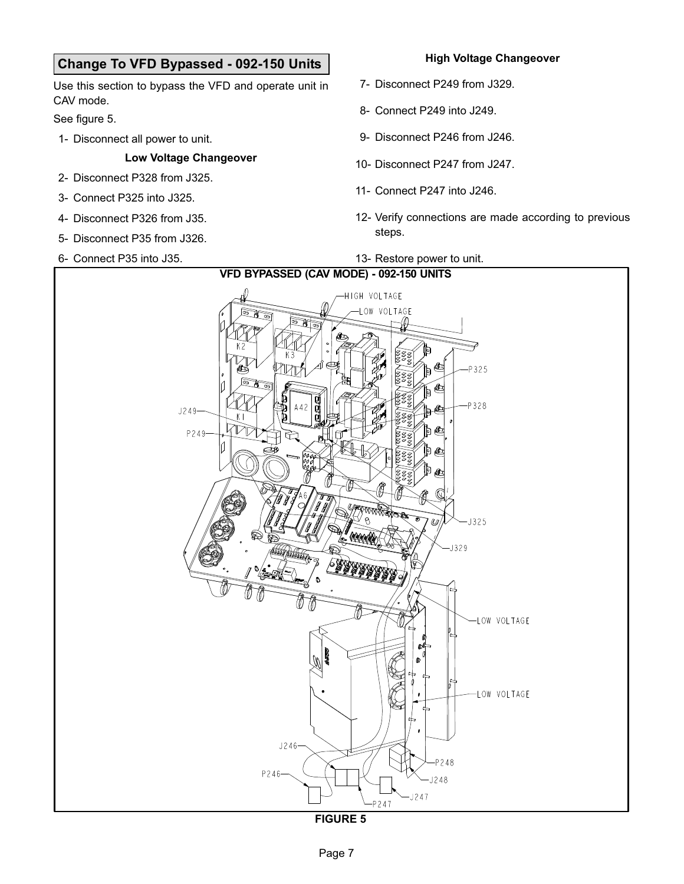# Change To VFD Bypassed − 092−150 Units

Use this section to bypass the VFD and operate unit in CAV mode.

See figure 5.

1− Disconnect all power to unit.

#### Low Voltage Changeover

- 2− Disconnect P328 from J325.
- 3− Connect P325 into J325.
- 4− Disconnect P326 from J35.
- 5− Disconnect P35 from J326.
- 6− Connect P35 into J35.

#### High Voltage Changeover

- 7− Disconnect P249 from J329.
- 8− Connect P249 into J249.
- 9− Disconnect P246 from J246.
- 10− Disconnect P247 from J247.
- 11− Connect P247 into J246.
- 12− Verify connections are made according to previous steps.

#### 13− Restore power to unit.